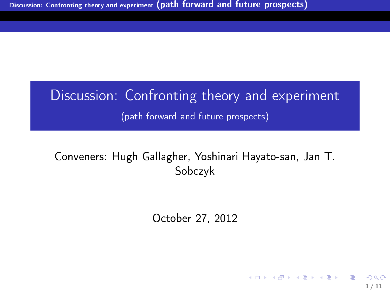# Discussion: Confronting theory and experiment (path forward and future prospects)

## Conveners: Hugh Gallagher, Yoshinari Hayato-san, Jan T. Sobczyk

October 27, 2012

<span id="page-0-0"></span>1 / 11

イロト 不優 ト 不思 ト 不思 トー 温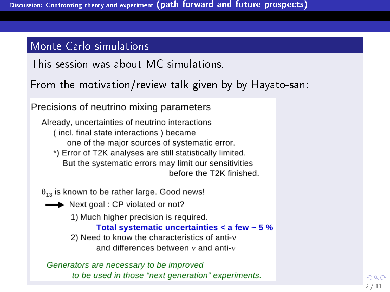#### Monte Carlo simulations

This session was about MC simulations.

From the motivation/review talk given by by Hayato-san:

Precisions of neutrino mixing parameters

Already, uncertainties of neutrino interactions (incl. final state interactions) became one of the major sources of systematic error. \*) Error of T2K analyses are still statistically limited. But the systematic errors may limit our sensitivities

<span id="page-1-0"></span>before the T2K finished.

 $\theta_{13}$  is known to be rather large. Good news!

Next goal : CP violated or not?

1) Much higher precision is required.

Total systematic uncertainties  $\leq$  a few  $\sim$  5 %

2) Need to know the characteristics of anti-v and differences between y and anti-y

Generators are necessary to be improved to be used in those "next generation" experiments.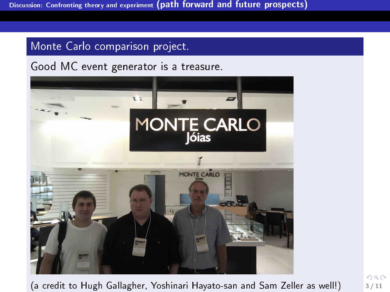### Monte Carlo comparison project.

Good MC event generator is a treasure.



(a credit to Hugh Gallagher, Yoshinari Hayato-san a[nd](#page-1-0) [Sa](#page-3-0)[m](#page-1-0) [Z](#page-2-0)[el](#page-3-0)[ler](#page-0-0) [as](#page-10-0) [we](#page-0-0)[ll!\)](#page-10-0)  $\frac{3}{11}$ 

<span id="page-2-0"></span> $290$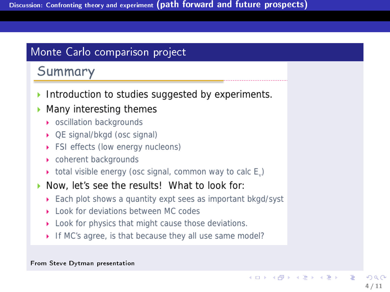### Monte Carlo comparison project

# Summary

- Introduction to studies suggested by experiments.
- Many interesting themes
	- oscillation backgrounds
	- ▶ QE signal/bkgd (osc signal)
	- ▶ FSI effects (low energy nucleons)
	- ▶ coherent backgrounds
	- $\rightarrow$  total visible energy (osc signal, common way to calc E<sub>..</sub>)
- Now, let's see the results! What to look for:
	- Each plot shows a quantity expt sees as important bkgd/syst
	- I ook for deviations between MC codes
	- Look for physics that might cause those deviations.
	- If MC's agree, is that because they all use same model?

#### From Steve Dytman presentation

<span id="page-3-0"></span>イロメ イ押メ イヨメ イヨメ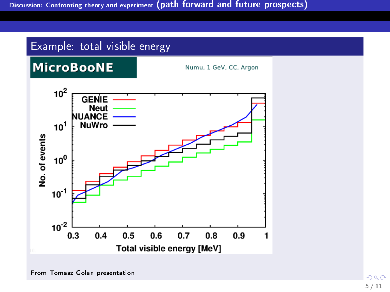

From Tomasz Golan presentation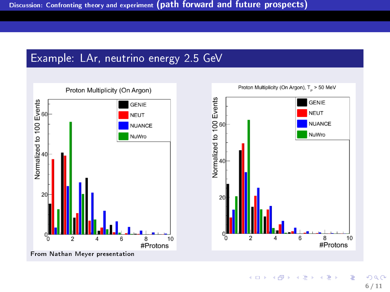



<span id="page-5-0"></span>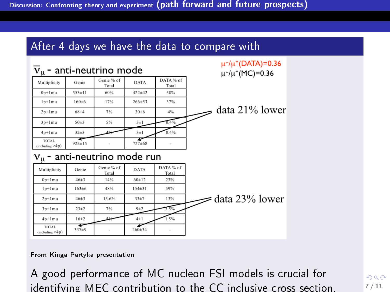#### After 4 days we have the data to compare with



 $\mu$ <sup>-</sup>/ $\mu$ <sup>+</sup>(DATA)=0.36

From Kinga Partyka presentation

A good performance of MC nucleon FSI mo[de](#page-5-0)l[s i](#page-7-0)[s](#page-5-0) [cr](#page-6-0)[u](#page-7-0)[cia](#page-0-0)[l f](#page-10-0)[or](#page-0-0) identifying MEC contribution to the CC inclusive cross section.  $7^{7/11}$ 

<span id="page-6-0"></span> $QQ$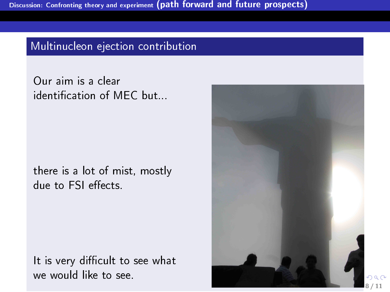#### Multinucleon ejection contribution

Our aim is a clear identication of MEC but...

there is a lot of mist, mostly due to FSI effects.

It is very difficult to see what we would like to see.

<span id="page-7-0"></span>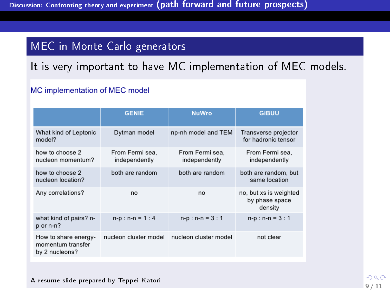### MEC in Monte Carlo generators

It is very important to have MC implementation of MEC models.

#### MC implementation of MEC model

|                                                             | <b>GENIE</b>                     | <b>NuWro</b>                     | <b>GiBUU</b>                                        |
|-------------------------------------------------------------|----------------------------------|----------------------------------|-----------------------------------------------------|
| What kind of Leptonic<br>model?                             | Dytman model                     | np-nh model and TEM              | Transverse projector<br>for hadronic tensor         |
| how to choose 2<br>nucleon momentum?                        | From Fermi sea,<br>independently | From Fermi sea.<br>independently | From Fermi sea,<br>independently                    |
| how to choose 2<br>nucleon location?                        | both are random                  | both are random                  | both are random, but<br>same location               |
| Any correlations?                                           | no                               | no                               | no, but xs is weighted<br>by phase space<br>density |
| what kind of pairs? n-<br>p or n-n?                         | $n-p : n-n = 1 : 4$              | $n-p : n-n = 3 : 1$              | $n-p : n-n = 3 : 1$                                 |
| How to share energy-<br>momentum transfer<br>by 2 nucleons? | nucleon cluster model            | nucleon cluster model            | not clear                                           |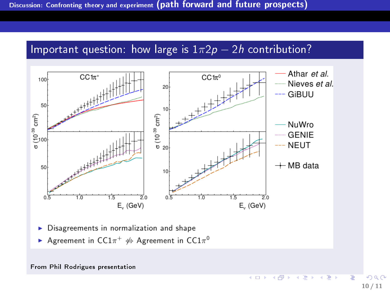#### Important question: how large is  $1\pi^2p - 2h$  contribution?



Agreement in  $CC1\pi^+$   $\not\Leftrightarrow$  Agreement in  $CC1\pi^0$ 

#### From Phil Rodrigues presentation

←画家→

4 0 8 4 @  $\mathbf{p}$  .  $\Rightarrow$ 

Þ

 $\triangleleft$